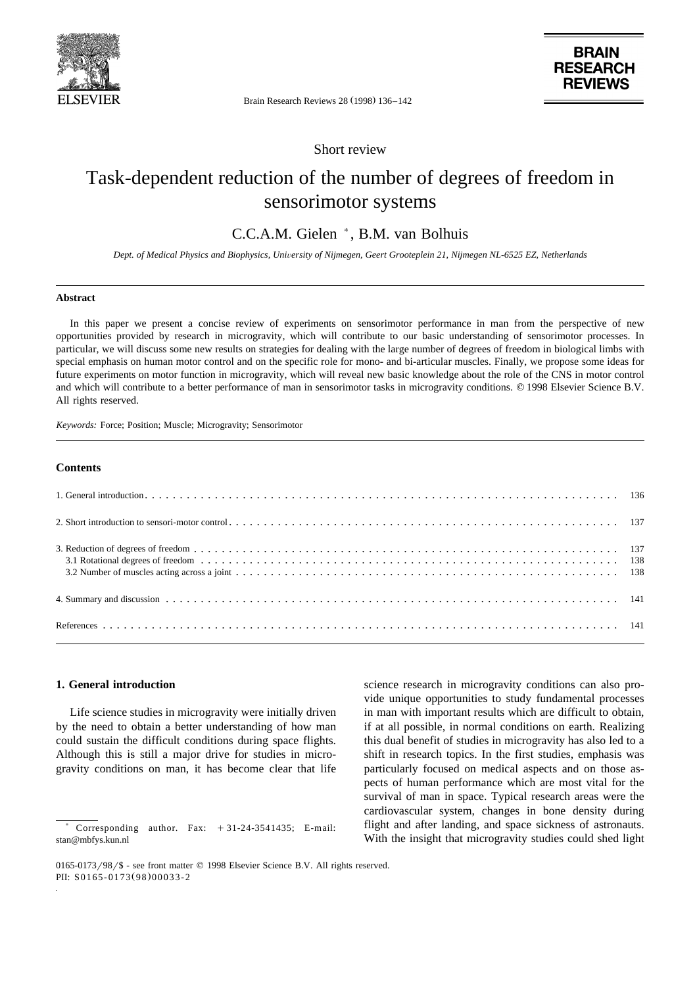

**BRAIN RESEARCH REVIEWS** 

Brain Research Reviews 28 (1998) 136-142

Short review

# Task-dependent reduction of the number of degrees of freedom in sensorimotor systems

## C.C.A.M. Gielen  $^*$ , B.M. van Bolhuis

Dept. of Medical Physics and Biophysics, University of Nijmegen, Geert Grooteplein 21, Nijmegen NL-6525 EZ, Netherlands

#### **Abstract**

In this paper we present a concise review of experiments on sensorimotor performance in man from the perspective of new opportunities provided by research in microgravity, which will contribute to our basic understanding of sensorimotor processes. In particular, we will discuss some new results on strategies for dealing with the large number of degrees of freedom in biological limbs with special emphasis on human motor control and on the specific role for mono- and bi-articular muscles. Finally, we propose some ideas for future experiments on motor function in microgravity, which will reveal new basic knowledge about the role of the CNS in motor control and which will contribute to a better performance of man in sensorimotor tasks in microgravity conditions. © 1998 Elsevier Science B.V. All rights reserved.

*Keywords:* Force; Position; Muscle; Microgravity; Sensorimotor

### **Contents**

#### **1. General introduction**

Life science studies in microgravity were initially driven by the need to obtain a better understanding of how man could sustain the difficult conditions during space flights. Although this is still a major drive for studies in microgravity conditions on man, it has become clear that life

science research in microgravity conditions can also provide unique opportunities to study fundamental processes in man with important results which are difficult to obtain, if at all possible, in normal conditions on earth. Realizing this dual benefit of studies in microgravity has also led to a shift in research topics. In the first studies, emphasis was particularly focused on medical aspects and on those aspects of human performance which are most vital for the survival of man in space. Typical research areas were the cardiovascular system, changes in bone density during flight and after landing, and space sickness of astronauts. With the insight that microgravity studies could shed light

 $Corresponding$  author. Fax:  $+31-24-3541435$ ; E-mail: stan@mbfys.kun.nl

 $0165-0173/98$  /\$ - see front matter  $\odot$  1998 Elsevier Science B.V. All rights reserved. PII: S0165-0173(98)00033-2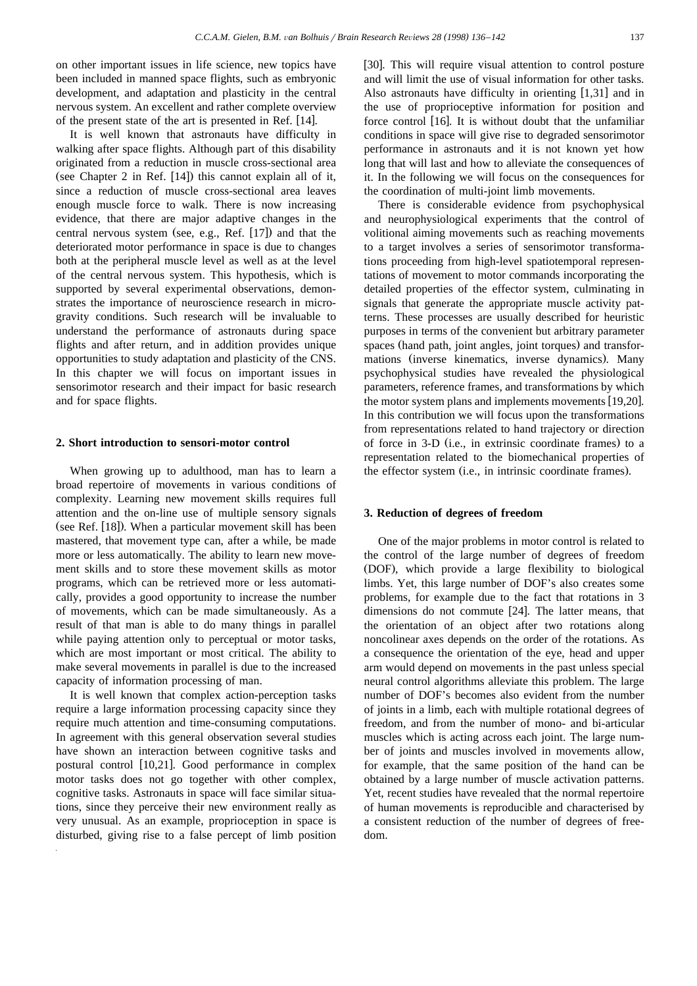on other important issues in life science, new topics have been included in manned space flights, such as embryonic development, and adaptation and plasticity in the central nervous system. An excellent and rather complete overview of the present state of the art is presented in Ref. [14].

It is well known that astronauts have difficulty in walking after space flights. Although part of this disability originated from a reduction in muscle cross-sectional area (see Chapter 2 in Ref.  $[14]$ ) this cannot explain all of it, since a reduction of muscle cross-sectional area leaves enough muscle force to walk. There is now increasing evidence, that there are major adaptive changes in the central nervous system (see, e.g., Ref.  $[17]$ ) and that the deteriorated motor performance in space is due to changes both at the peripheral muscle level as well as at the level of the central nervous system. This hypothesis, which is supported by several experimental observations, demonstrates the importance of neuroscience research in microgravity conditions. Such research will be invaluable to understand the performance of astronauts during space flights and after return, and in addition provides unique opportunities to study adaptation and plasticity of the CNS. In this chapter we will focus on important issues in sensorimotor research and their impact for basic research and for space flights.

#### **2. Short introduction to sensori-motor control**

When growing up to adulthood, man has to learn a broad repertoire of movements in various conditions of complexity. Learning new movement skills requires full attention and the on-line use of multiple sensory signals (see Ref.  $[18]$ ). When a particular movement skill has been mastered, that movement type can, after a while, be made more or less automatically. The ability to learn new movement skills and to store these movement skills as motor programs, which can be retrieved more or less automatically, provides a good opportunity to increase the number of movements, which can be made simultaneously. As a result of that man is able to do many things in parallel while paying attention only to perceptual or motor tasks, which are most important or most critical. The ability to make several movements in parallel is due to the increased capacity of information processing of man.

It is well known that complex action-perception tasks require a large information processing capacity since they require much attention and time-consuming computations. In agreement with this general observation several studies have shown an interaction between cognitive tasks and postural control  $[10,21]$ . Good performance in complex motor tasks does not go together with other complex, cognitive tasks. Astronauts in space will face similar situations, since they perceive their new environment really as very unusual. As an example, proprioception in space is disturbed, giving rise to a false percept of limb position

[30]. This will require visual attention to control posture and will limit the use of visual information for other tasks. Also astronauts have difficulty in orienting  $[1,31]$  and in the use of proprioceptive information for position and force control  $[16]$ . It is without doubt that the unfamiliar conditions in space will give rise to degraded sensorimotor performance in astronauts and it is not known yet how long that will last and how to alleviate the consequences of it. In the following we will focus on the consequences for the coordination of multi-joint limb movements.

There is considerable evidence from psychophysical and neurophysiological experiments that the control of volitional aiming movements such as reaching movements to a target involves a series of sensorimotor transformations proceeding from high-level spatiotemporal representations of movement to motor commands incorporating the detailed properties of the effector system, culminating in signals that generate the appropriate muscle activity patterns. These processes are usually described for heuristic purposes in terms of the convenient but arbitrary parameter spaces (hand path, joint angles, joint torques) and transformations (inverse kinematics, inverse dynamics). Many psychophysical studies have revealed the physiological parameters, reference frames, and transformations by which the motor system plans and implements movements  $[19,20]$ . In this contribution we will focus upon the transformations from representations related to hand trajectory or direction of force in 3-D (i.e., in extrinsic coordinate frames) to a representation related to the biomechanical properties of the effector system (i.e., in intrinsic coordinate frames).

#### **3. Reduction of degrees of freedom**

One of the major problems in motor control is related to the control of the large number of degrees of freedom (DOF), which provide a large flexibility to biological limbs. Yet, this large number of DOF's also creates some problems, for example due to the fact that rotations in 3 dimensions do not commute  $[24]$ . The latter means, that the orientation of an object after two rotations along noncolinear axes depends on the order of the rotations. As a consequence the orientation of the eye, head and upper arm would depend on movements in the past unless special neural control algorithms alleviate this problem. The large number of DOF's becomes also evident from the number of joints in a limb, each with multiple rotational degrees of freedom, and from the number of mono- and bi-articular muscles which is acting across each joint. The large number of joints and muscles involved in movements allow, for example, that the same position of the hand can be obtained by a large number of muscle activation patterns. Yet, recent studies have revealed that the normal repertoire of human movements is reproducible and characterised by a consistent reduction of the number of degrees of freedom.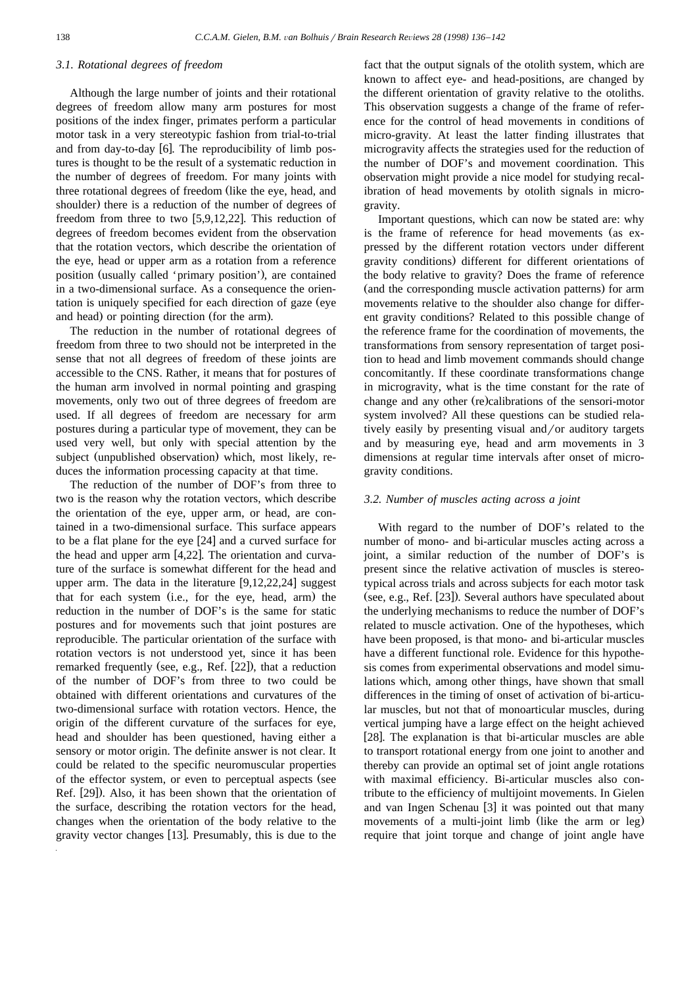#### *3.1. Rotational degrees of freedom*

Although the large number of joints and their rotational degrees of freedom allow many arm postures for most positions of the index finger, primates perform a particular motor task in a very stereotypic fashion from trial-to-trial and from day-to-day  $[6]$ . The reproducibility of limb postures is thought to be the result of a systematic reduction in the number of degrees of freedom. For many joints with three rotational degrees of freedom (like the eye, head, and shoulder) there is a reduction of the number of degrees of freedom from three to two  $[5,9,12,22]$ . This reduction of degrees of freedom becomes evident from the observation that the rotation vectors, which describe the orientation of the eye, head or upper arm as a rotation from a reference position (usually called 'primary position'), are contained in a two-dimensional surface. As a consequence the orientation is uniquely specified for each direction of gaze (eye and head) or pointing direction (for the arm).

The reduction in the number of rotational degrees of freedom from three to two should not be interpreted in the sense that not all degrees of freedom of these joints are accessible to the CNS. Rather, it means that for postures of the human arm involved in normal pointing and grasping movements, only two out of three degrees of freedom are used. If all degrees of freedom are necessary for arm postures during a particular type of movement, they can be used very well, but only with special attention by the subject (unpublished observation) which, most likely, reduces the information processing capacity at that time.

The reduction of the number of DOF's from three to two is the reason why the rotation vectors, which describe the orientation of the eye, upper arm, or head, are contained in a two-dimensional surface. This surface appears to be a flat plane for the eye  $[24]$  and a curved surface for the head and upper arm  $[4,22]$ . The orientation and curvature of the surface is somewhat different for the head and upper arm. The data in the literature  $[9,12,22,24]$  suggest that for each system (i.e., for the eye, head, arm) the reduction in the number of DOF's is the same for static postures and for movements such that joint postures are reproducible. The particular orientation of the surface with rotation vectors is not understood yet, since it has been remarked frequently (see, e.g., Ref. [22]), that a reduction of the number of DOF's from three to two could be obtained with different orientations and curvatures of the two-dimensional surface with rotation vectors. Hence, the origin of the different curvature of the surfaces for eye, head and shoulder has been questioned, having either a sensory or motor origin. The definite answer is not clear. It could be related to the specific neuromuscular properties of the effector system, or even to perceptual aspects (see Ref. [29]). Also, it has been shown that the orientation of the surface, describing the rotation vectors for the head, changes when the orientation of the body relative to the gravity vector changes [13]. Presumably, this is due to the

fact that the output signals of the otolith system, which are known to affect eye- and head-positions, are changed by the different orientation of gravity relative to the otoliths. This observation suggests a change of the frame of reference for the control of head movements in conditions of micro-gravity. At least the latter finding illustrates that microgravity affects the strategies used for the reduction of the number of DOF's and movement coordination. This observation might provide a nice model for studying recalibration of head movements by otolith signals in microgravity.

Important questions, which can now be stated are: why is the frame of reference for head movements (as expressed by the different rotation vectors under different gravity conditions) different for different orientations of the body relative to gravity? Does the frame of reference (and the corresponding muscle activation patterns) for arm movements relative to the shoulder also change for different gravity conditions? Related to this possible change of the reference frame for the coordination of movements, the transformations from sensory representation of target position to head and limb movement commands should change concomitantly. If these coordinate transformations change in microgravity, what is the time constant for the rate of change and any other (re)calibrations of the sensori-motor system involved? All these questions can be studied relatively easily by presenting visual and/or auditory targets and by measuring eye, head and arm movements in 3 dimensions at regular time intervals after onset of microgravity conditions.

#### *3.2. Number of muscles acting across a joint*

With regard to the number of DOF's related to the number of mono- and bi-articular muscles acting across a joint, a similar reduction of the number of DOF's is present since the relative activation of muscles is stereotypical across trials and across subjects for each motor task (see, e.g., Ref.  $[23]$ ). Several authors have speculated about the underlying mechanisms to reduce the number of DOF's related to muscle activation. One of the hypotheses, which have been proposed, is that mono- and bi-articular muscles have a different functional role. Evidence for this hypothesis comes from experimental observations and model simulations which, among other things, have shown that small differences in the timing of onset of activation of bi-articular muscles, but not that of monoarticular muscles, during vertical jumping have a large effect on the height achieved [28]. The explanation is that bi-articular muscles are able to transport rotational energy from one joint to another and thereby can provide an optimal set of joint angle rotations with maximal efficiency. Bi-articular muscles also contribute to the efficiency of multijoint movements. In Gielen and van Ingen Schenau [3] it was pointed out that many movements of a multi-joint limb (like the arm or leg) require that joint torque and change of joint angle have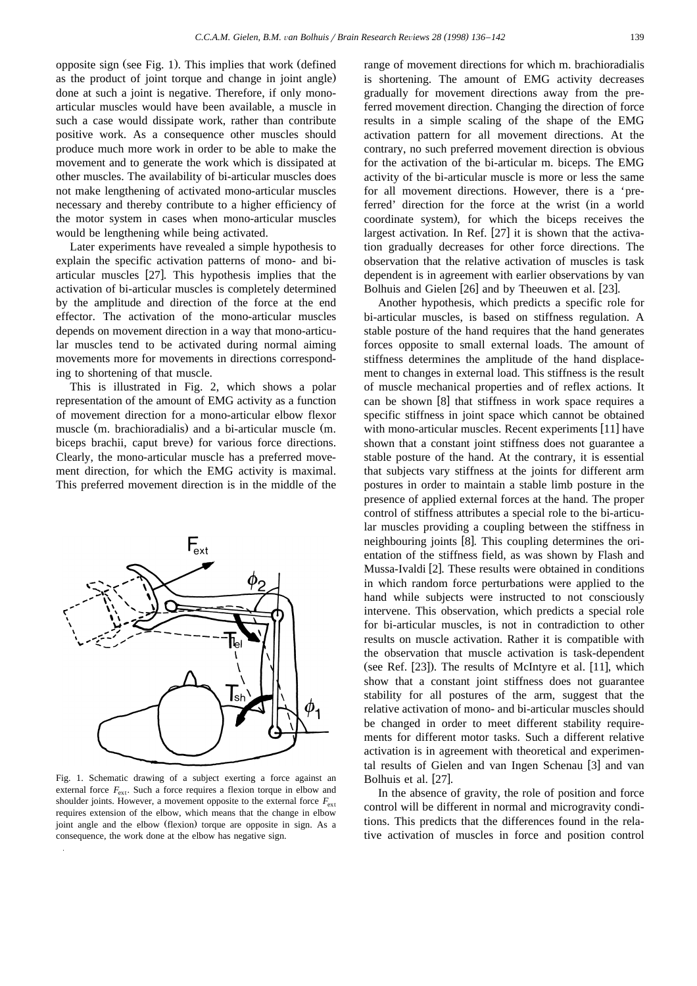opposite sign (see Fig. 1). This implies that work (defined as the product of joint torque and change in joint angle) done at such a joint is negative. Therefore, if only monoarticular muscles would have been available, a muscle in such a case would dissipate work, rather than contribute positive work. As a consequence other muscles should produce much more work in order to be able to make the movement and to generate the work which is dissipated at other muscles. The availability of bi-articular muscles does not make lengthening of activated mono-articular muscles necessary and thereby contribute to a higher efficiency of the motor system in cases when mono-articular muscles would be lengthening while being activated.

Later experiments have revealed a simple hypothesis to explain the specific activation patterns of mono- and biarticular muscles  $[27]$ . This hypothesis implies that the activation of bi-articular muscles is completely determined by the amplitude and direction of the force at the end effector. The activation of the mono-articular muscles depends on movement direction in a way that mono-articular muscles tend to be activated during normal aiming movements more for movements in directions corresponding to shortening of that muscle.

This is illustrated in Fig. 2, which shows a polar representation of the amount of EMG activity as a function of movement direction for a mono-articular elbow flexor muscle (m. brachioradialis) and a bi-articular muscle (m. biceps brachii, caput breve) for various force directions. Clearly, the mono-articular muscle has a preferred movement direction, for which the EMG activity is maximal. This preferred movement direction is in the middle of the



Fig. 1. Schematic drawing of a subject exerting a force against an external force  $F_{\text{ext}}$ . Such a force requires a flexion torque in elbow and shoulder joints. However, a movement opposite to the external force  $F_{ext}$ requires extension of the elbow, which means that the change in elbow joint angle and the elbow (flexion) torque are opposite in sign. As a consequence, the work done at the elbow has negative sign.

range of movement directions for which m. brachioradialis is shortening. The amount of EMG activity decreases gradually for movement directions away from the preferred movement direction. Changing the direction of force results in a simple scaling of the shape of the EMG activation pattern for all movement directions. At the contrary, no such preferred movement direction is obvious for the activation of the bi-articular m. biceps. The EMG activity of the bi-articular muscle is more or less the same for all movement directions. However, there is a 'preferred' direction for the force at the wrist (in a world coordinate system), for which the biceps receives the largest activation. In Ref.  $[27]$  it is shown that the activation gradually decreases for other force directions. The observation that the relative activation of muscles is task dependent is in agreement with earlier observations by van Bolhuis and Gielen [26] and by Theeuwen et al. [23].

Another hypothesis, which predicts a specific role for bi-articular muscles, is based on stiffness regulation. A stable posture of the hand requires that the hand generates forces opposite to small external loads. The amount of stiffness determines the amplitude of the hand displacement to changes in external load. This stiffness is the result of muscle mechanical properties and of reflex actions. It can be shown [8] that stiffness in work space requires a specific stiffness in joint space which cannot be obtained with mono-articular muscles. Recent experiments  $[11]$  have shown that a constant joint stiffness does not guarantee a stable posture of the hand. At the contrary, it is essential that subjects vary stiffness at the joints for different arm postures in order to maintain a stable limb posture in the presence of applied external forces at the hand. The proper control of stiffness attributes a special role to the bi-articular muscles providing a coupling between the stiffness in neighbouring joints [8]. This coupling determines the orientation of the stiffness field, as was shown by Flash and Mussa-Ivaldi  $[2]$ . These results were obtained in conditions in which random force perturbations were applied to the hand while subjects were instructed to not consciously intervene. This observation, which predicts a special role for bi-articular muscles, is not in contradiction to other results on muscle activation. Rather it is compatible with the observation that muscle activation is task-dependent (see Ref.  $[23]$ ). The results of McIntyre et al.  $[11]$ , which show that a constant joint stiffness does not guarantee stability for all postures of the arm, suggest that the relative activation of mono- and bi-articular muscles should be changed in order to meet different stability requirements for different motor tasks. Such a different relative activation is in agreement with theoretical and experimental results of Gielen and van Ingen Schenau [3] and van Bolhuis et al. [27].

In the absence of gravity, the role of position and force control will be different in normal and microgravity conditions. This predicts that the differences found in the relative activation of muscles in force and position control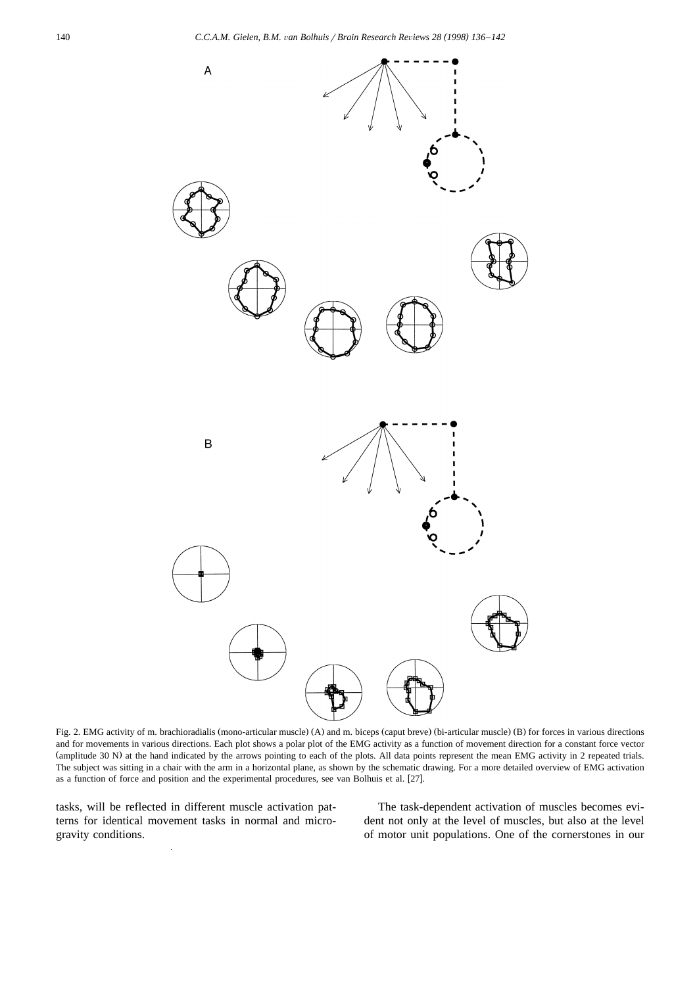

Fig. 2. EMG activity of m. brachioradialis (mono-articular muscle) (A) and m. biceps (caput breve) (bi-articular muscle) (B) for forces in various directions and for movements in various directions. Each plot shows a polar plot of the EMG activity as a function of movement direction for a constant force vector (amplitude 30 N) at the hand indicated by the arrows pointing to each of the plots. All data points represent the mean EMG activity in 2 repeated trials. The subject was sitting in a chair with the arm in a horizontal plane, as shown by the schematic drawing. For a more detailed overview of EMG activation as a function of force and position and the experimental procedures, see van Bolhuis et al. [27].

tasks, will be reflected in different muscle activation patterns for identical movement tasks in normal and microgravity conditions.

The task-dependent activation of muscles becomes evident not only at the level of muscles, but also at the level of motor unit populations. One of the cornerstones in our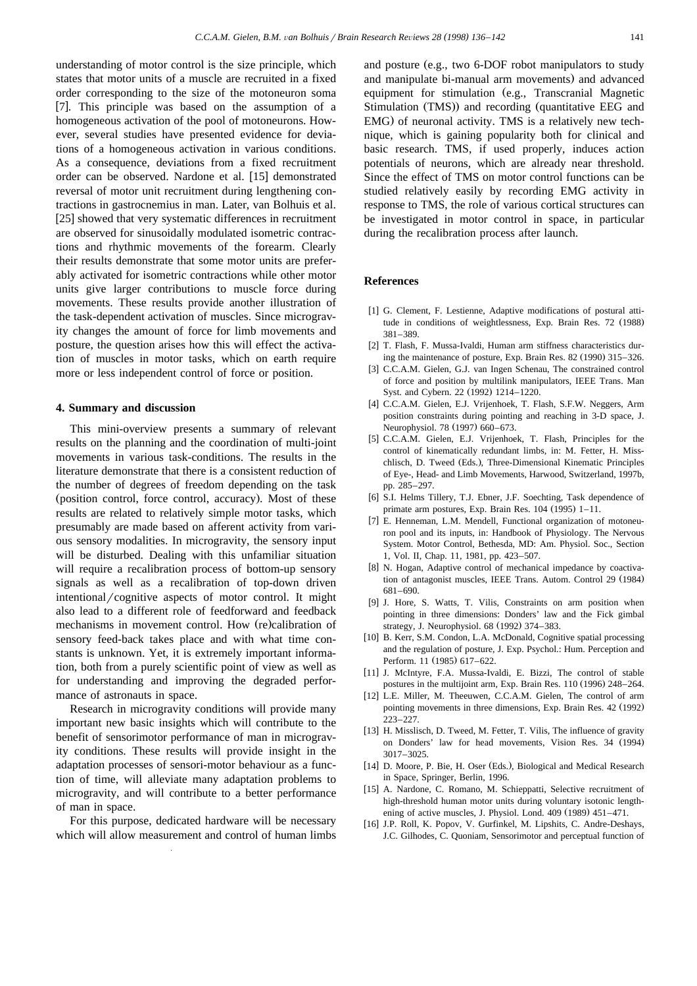understanding of motor control is the size principle, which states that motor units of a muscle are recruited in a fixed order corresponding to the size of the motoneuron soma [7]. This principle was based on the assumption of a homogeneous activation of the pool of motoneurons. However, several studies have presented evidence for deviations of a homogeneous activation in various conditions. As a consequence, deviations from a fixed recruitment order can be observed. Nardone et al. [15] demonstrated reversal of motor unit recruitment during lengthening contractions in gastrocnemius in man. Later, van Bolhuis et al. [25] showed that very systematic differences in recruitment are observed for sinusoidally modulated isometric contractions and rhythmic movements of the forearm. Clearly their results demonstrate that some motor units are preferably activated for isometric contractions while other motor units give larger contributions to muscle force during movements. These results provide another illustration of the task-dependent activation of muscles. Since microgravity changes the amount of force for limb movements and posture, the question arises how this will effect the activation of muscles in motor tasks, which on earth require more or less independent control of force or position.

#### **4. Summary and discussion**

This mini-overview presents a summary of relevant results on the planning and the coordination of multi-joint movements in various task-conditions. The results in the literature demonstrate that there is a consistent reduction of the number of degrees of freedom depending on the task (position control, force control, accuracy). Most of these results are related to relatively simple motor tasks, which presumably are made based on afferent activity from various sensory modalities. In microgravity, the sensory input will be disturbed. Dealing with this unfamiliar situation will require a recalibration process of bottom-up sensory signals as well as a recalibration of top-down driven intentional/cognitive aspects of motor control. It might also lead to a different role of feedforward and feedback mechanisms in movement control. How (re)calibration of sensory feed-back takes place and with what time constants is unknown. Yet, it is extremely important information, both from a purely scientific point of view as well as for understanding and improving the degraded performance of astronauts in space.

Research in microgravity conditions will provide many important new basic insights which will contribute to the benefit of sensorimotor performance of man in microgravity conditions. These results will provide insight in the adaptation processes of sensori-motor behaviour as a function of time, will alleviate many adaptation problems to microgravity, and will contribute to a better performance of man in space.

For this purpose, dedicated hardware will be necessary which will allow measurement and control of human limbs

and posture (e.g., two 6-DOF robot manipulators to study and manipulate bi-manual arm movements) and advanced equipment for stimulation (e.g., Transcranial Magnetic Stimulation (TMS)) and recording (quantitative EEG and EMG) of neuronal activity. TMS is a relatively new technique, which is gaining popularity both for clinical and basic research. TMS, if used properly, induces action potentials of neurons, which are already near threshold. Since the effect of TMS on motor control functions can be studied relatively easily by recording EMG activity in response to TMS, the role of various cortical structures can be investigated in motor control in space, in particular during the recalibration process after launch.

#### **References**

- [1] G. Clement, F. Lestienne, Adaptive modifications of postural attitude in conditions of weightlessness, Exp. Brain Res. 72 (1988) 381–389.
- [2] T. Flash, F. Mussa-Ivaldi, Human arm stiffness characteristics during the maintenance of posture, Exp. Brain Res.  $82(1990)$   $315-326$ .
- [3] C.C.A.M. Gielen, G.J. van Ingen Schenau, The constrained control of force and position by multilink manipulators, IEEE Trans. Man Syst. and Cybern. 22 (1992) 1214–1220.
- [4] C.C.A.M. Gielen, E.J. Vrijenhoek, T. Flash, S.F.W. Neggers, Arm position constraints during pointing and reaching in 3-D space, J. Neurophysiol. 78 (1997) 660–673.
- [5] C.C.A.M. Gielen, E.J. Vrijenhoek, T. Flash, Principles for the control of kinematically redundant limbs, in: M. Fetter, H. Misschlisch, D. Tweed (Eds.), Three-Dimensional Kinematic Principles of Eye-, Head- and Limb Movements, Harwood, Switzerland, 1997b, pp. 285–297.
- [6] S.I. Helms Tillery, T.J. Ebner, J.F. Soechting, Task dependence of primate arm postures, Exp. Brain Res.  $104$  (1995)  $1-11$ .
- [7] E. Henneman, L.M. Mendell, Functional organization of motoneuron pool and its inputs, in: Handbook of Physiology. The Nervous System. Motor Control, Bethesda, MD: Am. Physiol. Soc., Section 1, Vol. II, Chap. 11, 1981, pp. 423–507.
- [8] N. Hogan, Adaptive control of mechanical impedance by coactivation of antagonist muscles, IEEE Trans. Autom. Control 29 (1984) 681–690.
- [9] J. Hore, S. Watts, T. Vilis, Constraints on arm position when pointing in three dimensions: Donders' law and the Fick gimbal strategy, J. Neurophysiol. 68 (1992) 374–383.
- [10] B. Kerr, S.M. Condon, L.A. McDonald, Cognitive spatial processing and the regulation of posture, J. Exp. Psychol.: Hum. Perception and Perform. 11 (1985) 617-622.
- [11] J. McIntyre, F.A. Mussa-Ivaldi, E. Bizzi, The control of stable postures in the multijoint arm, Exp. Brain Res.  $110(1996)$   $248-264$ .
- [12] L.E. Miller, M. Theeuwen, C.C.A.M. Gielen, The control of arm pointing movements in three dimensions, Exp. Brain Res. 42 (1992) 223–227.
- [13] H. Misslisch, D. Tweed, M. Fetter, T. Vilis, The influence of gravity on Donders' law for head movements, Vision Res. 34 (1994) 3017–3025.
- [14] D. Moore, P. Bie, H. Oser (Eds.), Biological and Medical Research in Space, Springer, Berlin, 1996.
- [15] A. Nardone, C. Romano, M. Schieppatti, Selective recruitment of high-threshold human motor units during voluntary isotonic lengthening of active muscles, J. Physiol. Lond.  $409$  (1989)  $451-471$ .
- [16] J.P. Roll, K. Popov, V. Gurfinkel, M. Lipshits, C. Andre-Deshays, J.C. Gilhodes, C. Quoniam, Sensorimotor and perceptual function of